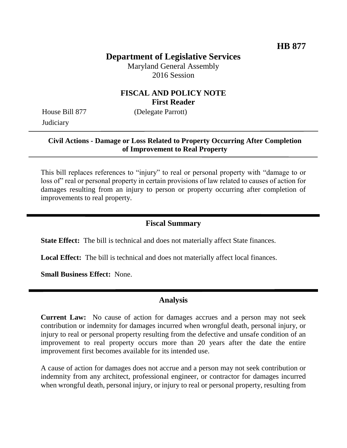# **Department of Legislative Services**

Maryland General Assembly 2016 Session

### **FISCAL AND POLICY NOTE First Reader**

House Bill 877 (Delegate Parrott) **Judiciary** 

#### **Civil Actions - Damage or Loss Related to Property Occurring After Completion of Improvement to Real Property**

This bill replaces references to "injury" to real or personal property with "damage to or loss of real or personal property in certain provisions of law related to causes of action for damages resulting from an injury to person or property occurring after completion of improvements to real property.

### **Fiscal Summary**

**State Effect:** The bill is technical and does not materially affect State finances.

**Local Effect:** The bill is technical and does not materially affect local finances.

**Small Business Effect:** None.

#### **Analysis**

**Current Law:** No cause of action for damages accrues and a person may not seek contribution or indemnity for damages incurred when wrongful death, personal injury, or injury to real or personal property resulting from the defective and unsafe condition of an improvement to real property occurs more than 20 years after the date the entire improvement first becomes available for its intended use.

A cause of action for damages does not accrue and a person may not seek contribution or indemnity from any architect, professional engineer, or contractor for damages incurred when wrongful death, personal injury, or injury to real or personal property, resulting from